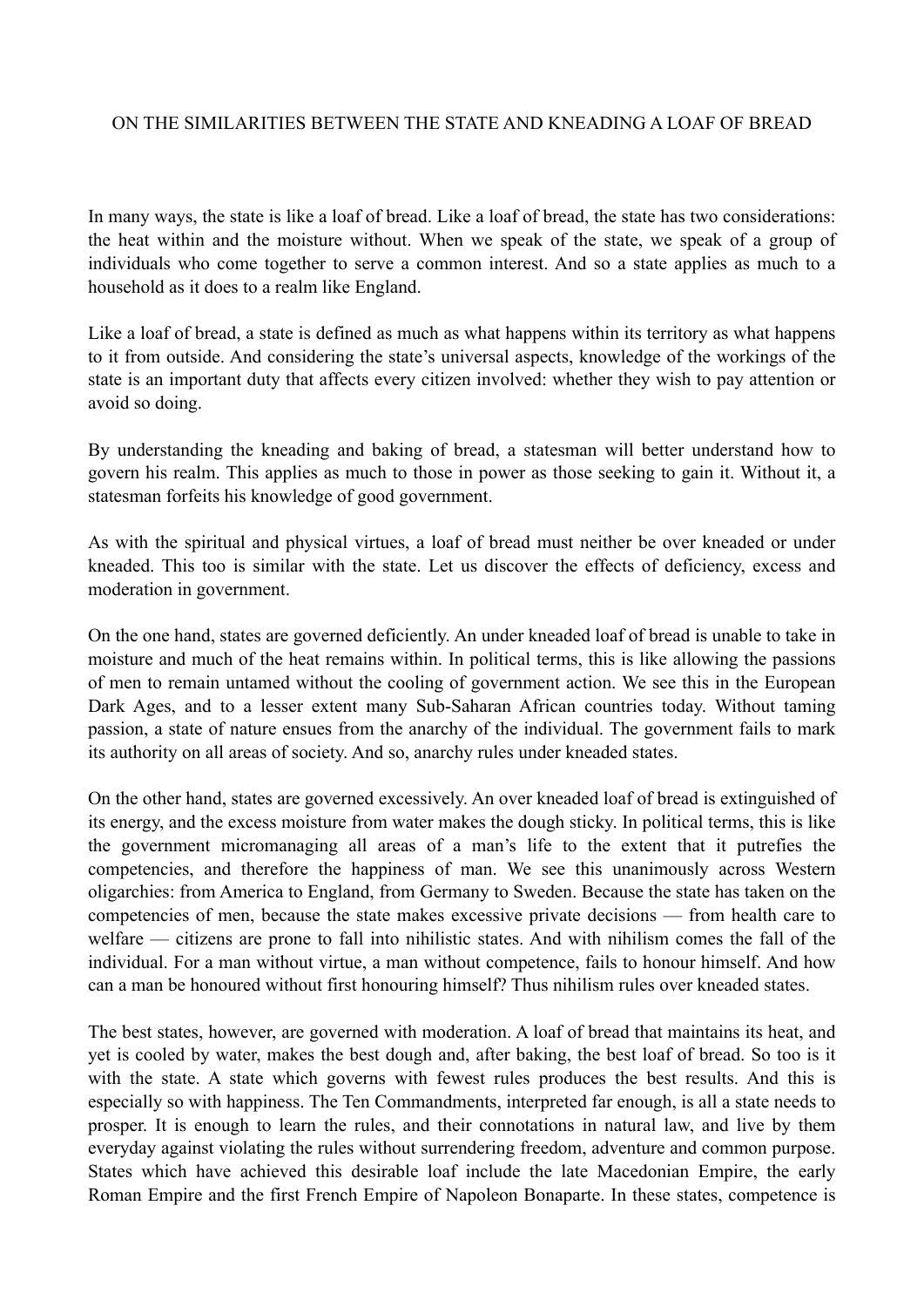## ON THE SIMILARITIES BETWEEN THE STATE AND KNEADING A LOAF OF BREAD

In many ways, the state is like a loaf of bread. Like a loaf of bread, the state has two considerations: the heat within and the moisture without. When we speak of the state, we speak of a group of individuals who come together to serve a common interest. And so a state applies as much to a household as it does to a realm like England.

Like a loaf of bread, a state is defined as much as what happens within its territory as what happens to it from outside. And considering the state's universal aspects, knowledge of the workings of the state is an important duty that affects every citizen involved: whether they wish to pay attention or avoid so doing.

By understanding the kneading and baking of bread, a statesman will better understand how to govern his realm. This applies as much to those in power as those seeking to gain it. Without it, a statesman forfeits his knowledge of good government.

As with the spiritual and physical virtues, a loaf of bread must neither be over kneaded or under kneaded. This too is similar with the state. Let us discover the effects of deficiency, excess and moderation in government.

On the one hand, states are governed deficiently. An under kneaded loaf of bread is unable to take in moisture and much of the heat remains within. In political terms, this is like allowing the passions of men to remain untamed without the cooling of government action. We see this in the European Dark Ages, and to a lesser extent many Sub-Saharan African countries today. Without taming passion, a state of nature ensues from the anarchy of the individual. The government fails to mark its authority on all areas of society. And so, anarchy rules under kneaded states.

On the other hand, states are governed excessively. An over kneaded loaf of bread is extinguished of its energy, and the excess moisture from water makes the dough sticky. In political terms, this is like the government micromanaging all areas of a man's life to the extent that it putrefies the competencies, and therefore the happiness of man. We see this unanimously across Western oligarchies: from America to England, from Germany to Sweden. Because the state has taken on the competencies of men, because the state makes excessive private decisions — from health care to welfare — citizens are prone to fall into nihilistic states. And with nihilism comes the fall of the individual. For a man without virtue, a man without competence, fails to honour himself. And how can a man be honoured without first honouring himself? Thus nihilism rules over kneaded states.

The best states, however, are governed with moderation. A loaf of bread that maintains its heat, and yet is cooled by water, makes the best dough and, after baking, the best loaf of bread. So too is it with the state. A state which governs with fewest rules produces the best results. And this is especially so with happiness. The Ten Commandments, interpreted far enough, is all a state needs to prosper. It is enough to learn the rules, and their connotations in natural law, and live by them everyday against violating the rules without surrendering freedom, adventure and common purpose. States which have achieved this desirable loaf include the late Macedonian Empire, the early Roman Empire and the first French Empire of Napoleon Bonaparte. In these states, competence is